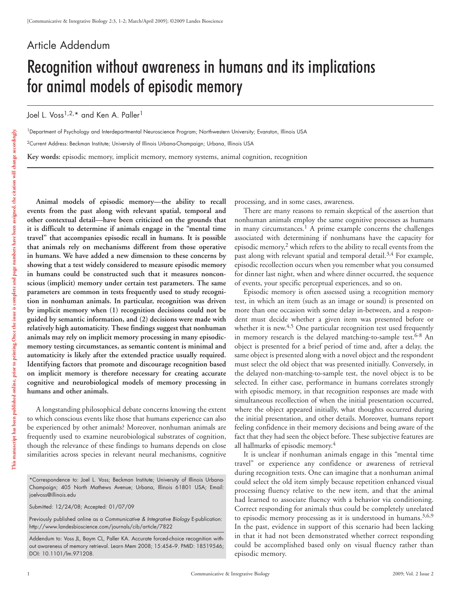## Article Addendum

## Recognition without awareness in humans and its implications for animal models of episodic memory

Joel L. Voss<sup>1,2,\*</sup> and Ken A. Paller<sup>1</sup>

1Department of Psychology and Interdepartmental Neuroscience Program; Northwestern University; Evanston, Illinois USA 2Current Address: Beckman Institute; University of Illinois Urbana-Champaign; Urbana, Illinois USA **Key words:** episodic memory, implicit memory, memory systems, animal cognition, recognition

**Animal models of episodic memory—the ability to recall events from the past along with relevant spatial, temporal and other contextual detail—have been criticized on the grounds that it is difficult to determine if animals engage in the "mental time travel" that accompanies episodic recall in humans. It is possible that animals rely on mechanisms different from those operative in humans. We have added a new dimension to these concerns by showing that a test widely considered to measure episodic memory in humans could be constructed such that it measures nonconscious (implicit) memory under certain test parameters. The same parameters are common in tests frequently used to study recognition in nonhuman animals. In particular, recognition was driven by implicit memory when (1) recognition decisions could not be guided by semantic information, and (2) decisions were made with relatively high automaticity. These findings suggest that nonhuman animals may rely on implicit memory processing in many episodicmemory testing circumstances, as semantic content is minimal and automaticity is likely after the extended practice usually required. Identifying factors that promote and discourage recognition based on implicit memory is therefore necessary for creating accurate cognitive and neurobiological models of memory processing in humans and other animals.**

A longstanding philosophical debate concerns knowing the extent to which conscious events like those that humans experience can also be experienced by other animals? Moreover, nonhuman animals are frequently used to examine neurobiological substrates of cognition, though the relevance of these findings to humans depends on close similarities across species in relevant neural mechanisms, cognitive

Submitted: 12/24/08; Accepted: 01/07/09

Previously published online as a *Communicative & Integrative Biology* E-publication: http://www.landesbioscience.com/journals/cib/article/7822

processing, and in some cases, awareness.

There are many reasons to remain skeptical of the assertion that nonhuman animals employ the same cognitive processes as humans in many circumstances.<sup>1</sup> A prime example concerns the challenges associated with determining if nonhumans have the capacity for episodic memory, $2$  which refers to the ability to recall events from the past along with relevant spatial and temporal detail.<sup>3,4</sup> For example, episodic recollection occurs when you remember what you consumed for dinner last night, when and where dinner occurred, the sequence of events, your specific perceptual experiences, and so on.

Episodic memory is often assessed using a recognition memory test, in which an item (such as an image or sound) is presented on more than one occasion with some delay in-between, and a respondent must decide whether a given item was presented before or whether it is new.<sup>4,5</sup> One particular recognition test used frequently in memory research is the delayed matching-to-sample test.<sup>6-8</sup> An object is presented for a brief period of time and, after a delay, the same object is presented along with a novel object and the respondent must select the old object that was presented initially. Conversely, in the delayed non-matching-to-sample test, the novel object is to be selected. In either case, performance in humans correlates strongly with episodic memory, in that recognition responses are made with simultaneous recollection of when the initial presentation occurred, where the object appeared initially, what thoughts occurred during the initial presentation, and other details. Moreover, humans report feeling confidence in their memory decisions and being aware of the fact that they had seen the object before. These subjective features are all hallmarks of episodic memory.<sup>4</sup>

It is unclear if nonhuman animals engage in this "mental time travel" or experience any confidence or awareness of retrieval during recognition tests. One can imagine that a nonhuman animal could select the old item simply because repetition enhanced visual processing fluency relative to the new item, and that the animal had learned to associate fluency with a behavior via conditioning. Correct responding for animals thus could be completely unrelated to episodic memory processing as it is understood in humans.<sup>3,6,9</sup> In the past, evidence in support of this scenario had been lacking in that it had not been demonstrated whether correct responding could be accomplished based only on visual fluency rather than episodic memory.

<sup>\*</sup>Correspondence to: Joel L. Voss; Beckman Institute; University of Illinois Urbana-Champaign; 405 North Mathews Avenue; Urbana, Illinois 61801 USA; Email: joelvoss@illinois.edu

Addendum to: Voss JL, Baym CL, Paller KA. Accurate forced-choice recognition without awareness of memory retrieval. Learn Mem 2008; 15:454–9. PMID: 18519546; DOI: 10.1101/lm.971208.